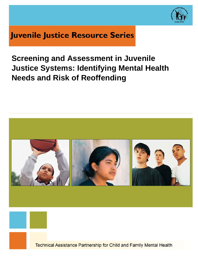

# **Juvenile Justice Resource Series**

# **Screening and Assessment in Juvenile Justice Systems: Identifying Mental Health Needs and Risk of Reoffending**

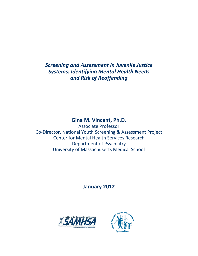*Screening and Assessment in Juvenile Justice Systems: Identifying Mental Health Needs and Risk of Reoffending*

# **Gina M. Vincent, Ph.D.**

Associate Professor Co-Director, National Youth Screening & Assessment Project Center for Mental Health Services Research Department of Psychiatry University of Massachusetts Medical School

**January 2012**



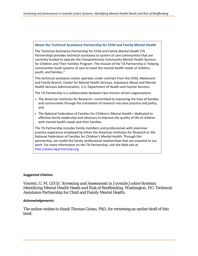#### **About the Technical Assistance Partnership for Child and Family Mental Health**

The Technical Assistance Partnership for Child and Family Mental Health (TA Partnership) provides technical assistance to system of care communities that are currently funded to operate the Comprehensive Community Mental Health Services for Children and Their Families Program. The mission of the TA Partnership is "helping communities build systems of care to meet the mental health needs of children, youth, and families."

This technical assistance center operates under contract from the Child, Adolescent and Family Branch, Center for Mental Health Services, Substance Abuse and Mental Health Services Administration, U.S. Department of Health and Human Services.

The TA Partnership is a collaboration between two mission-driven organizations:

- The American Institutes for Research—committed to improving the lives of families and communities through the translation of research into best practice and policy, and
- The National Federation of Families for Children's Mental Health—dedicated to effective family leadership and advocacy to improve the quality of life of children with mental health needs and their families.

The TA Partnership includes family members and professionals with extensive practice experience employed by either the American Institutes for Research or the National Federation of Families for Children's Mental Health. Through this partnership, we model the family-professional relationships that are essential to our work. For more information on the TA Partnership, visit the Web site at http://www.tapartnership.org.

#### *Suggested Citation:*

Vincent, G. M. (2011). *Screening and Assessment in Juvenile Justice Systems: Identifying Mental Health Needs and Risk of Reoffending.* Washington, DC: Technical Assistance Partnership for Child and Family Mental Health.

#### *Acknowledgements:*

The author wishes to thank Thomas Grisso, PhD, for reviewing an earlier draft of this brief.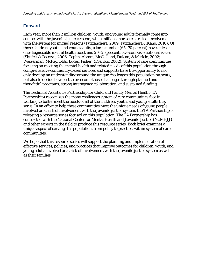### **Forward**

Each year, more than 2 million children, youth, and young adults formally come into contact with the juvenile justice system, while millions more are at risk of involvement with the system for myriad reasons (Puzzanchera, 2009; Puzzanchera & Kang, 2010). Of those children, youth, and young adults, a large number (65–70 percent) have at least one diagnosable mental health need, and 20–25 percent have serious emotional issues (Shufelt & Cocozza, 2006; Teplin, Abram, McClelland, Dulcan, & Mericle, 2002; Wasserman, McReynolds, Lucas, Fisher, & Santos, 2002). System of care communities focusing on meeting the mental health and related needs of this population through comprehensive community-based services and supports have the opportunity to not only develop an understanding around the unique challenges this population presents, but also to decide how best to overcome those challenges through planned and thoughtful programs, strong interagency collaboration, and sustained funding.

The Technical Assistance Partnership for Child and Family Mental Health (TA Partnership) recognizes the many challenges system of care communities face in working to better meet the needs of all of the children, youth, and young adults they serve. In an effort to help these communities meet the unique needs of young people involved or at risk of involvement with the juvenile justice system, the TA Partnership is releasing a resource series focused on this population. The TA Partnership has contracted with the National Center for Mental Health and Juvenile Justice (NCMHJJ) and other experts in the field to produce this resource series. Each brief examines a unique aspect of serving this population, from policy to practice, within system of care communities.

We hope that this resource series will support the planning and implementation of effective services, policies, and practices that improve outcomes for children, youth, and young adults involved or at risk of involvement with the juvenile justice system as well as their families.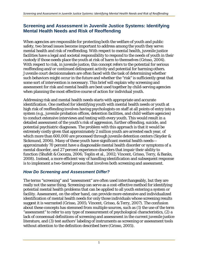## **Screening and Assessment in Juvenile Justice Systems: Identifying Mental Health Needs and Risk of Reoffending**

When agencies are responsible for protecting both the welfare of youth and public safety, two broad issues become important to address among the youth they serve: mental health and risk of reoffending. With respect to *mental health*, juvenile justice facilities have a legal and societal responsibility to respond to the needs of youth in their custody if those needs place the youth at risk of harm to themselves (Grisso, 2004). With respect to *risk*, in juvenile justice, this concept refers to the potential for serious reoffending and/or continued delinquent activity and potential for harming others*.*  Juvenile court decisionmakers are often faced with the task of determining whether such behaviors might occur in the future and whether the "risk" is sufficiently great that some sort of intervention is necessary. This brief will explain why screening and assessment for risk and mental health are best used together by child-serving agencies when planning the most effective course of action for individual youth.

Addressing risk and mental health needs starts with appropriate and accurate identification. One method for identifying youth with mental health needs or youth at high risk of reoffending involves having psychologists on staff at all points of entry into a system (e.g., juvenile probation offices, detention facilities, and child welfare agencies) to conduct extensive interviews and testing with every youth. This would result in a detailed assessment of the youth's risk of aggression, further offending, suicide, and potential psychiatric diagnoses. The problem with this approach is that it would be extremely costly given that approximately 2 million youth are arrested each year, of which more than 600,000 are processed through juvenile detention centers (Snyder & Sickmund, 2006). Many of these youth have significant mental health needs approximately 70 percent have a diagnosable mental health disorder or symptoms of a mental disorder, and 27 percent experience disorders that impair their ability to function (Shufelt & Cocozza, 2006; Teplin et al., 2002; Vincent, Grisso, Terry, & Banks, 2008). Instead, a more efficient way of handling identification and subsequent response is to implement a two-tiered process that involves both screening and assessment.

# *How Do Screening and Assessment Differ?*

The terms "screening" and "assessment" are often used interchangeably, but they are really not the same thing. Screening can serve as a cost-effective method for identifying potential mental health problems that can be applied to all youth entering a system or facility. Assessment, on the other hand, can provide more extensive and individualized identification of mental health needs for only those individuals whose screening results suggest it is warranted (Grisso, 2005; Vincent, Grisso, & Terry, 2007). The confusion about these concepts has stemmed from multiple sources, such as (1) the use of the term "assessment" to refer to *any* type of measurement of psychological characteristics, (2) a lack of consensual definitions of screening and assessment in the current juvenile justice literature, and (3) test authors' labeling of instruments as screening or assessment tools without attention to the definition described here (Grisso, 2005).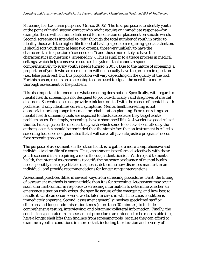Screening has two main purposes (Grisso, 2005). The first purpose is to identify youth at the point of initial system contact who might require an *immediate* response—for example, those with an immediate need for medication or placement on suicide watch. Second, screening is intended to "sift" through the total number of youth in order to identify those with the *higher likelihood* of having a problem requiring special attention. It should sort youth into at least two groups: those very unlikely to have the characteristics in question ("screened out") and those more likely to have the characteristics in question ("screened in"). This is similar to a triage process in medical settings, which helps conserve resources in systems that cannot respond comprehensively to every youth's needs (Grisso, 2005). Due to the nature of screening, a proportion of youth who are screened in will not actually have the problem in question (i.e., false positives), but this proportion will vary depending on the quality of the tool. For this reason, results on a screening tool are used to signal the need for a more thorough assessment of the problem.

It is also important to remember what screening does not do. Specifically, with regard to mental health, screening is not designed to provide clinically valid diagnoses of mental disorders. Screening does not provide clinicians or staff with the causes of mental health problems; it only identifies current symptoms. Mental health screening is not appropriate for long-range treatment or rehabilitation planning. Scores or ratings on mental health screening tools are expected to fluctuate because they target acute problem areas. Put simply, screenings have a short shelf life: 2–4 weeks is a good rule of thumb. Finally, given the inconsistency with which some tools have been titled by the authors, agencies should be reminded that the simple fact that an instrument is called a screening tool does not guarantee that it will serve all juvenile justice programs' needs for a screening process.

The purpose of assessment, on the other hand, is to gather a more comprehensive and individualized profile of a youth. Thus, assessment is performed selectively with those youth screened in as requiring a more thorough identification. With regard to mental health, the intent of assessment is to verify the presence or absence of mental health needs, possibly make psychiatric diagnoses, determine how disorders manifest in an individual, and provide recommendations for longer range interventions.

Assessment practices differ in several ways from screening procedures. First, the timing of assessment methods is more variable than it is for screening. Assessment may occur soon after first contact in response to screening information to determine whether an emergency situation truly exists, the specific nature of the emergency, and how best to handle it. Or it can occur several weeks later in cases in which no crisis condition is immediately apparent. Second, assessment generally involves specialized staff or clinicians and longer administration times (more than 30 minutes) to include comprehensive testing, interviewing, and obtaining collateral information. Finally, the conclusions generated from assessment procedures are intended to be more stable (i.e., have a longer shelf life) than findings from screening tools, because they can afford to examine a youth's conditions in more detail, including the duration and severity of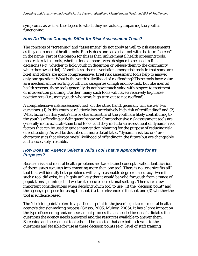symptoms, as well as the degree to which they are actually impairing the youth's functioning.

## *How Do These Concepts Differ for Risk Assessment Tools?*

The concepts of "screening" and "assessment" do not apply as well to risk assessments as they do to mental health tools. Rarely does one see a risk tool with the term "screen" in the name. Part of the reason for this is that, unlike mental health screening tools, most risk-related tools, whether long or short, were designed to be used in final decisions (e.g., whether to hold youth in detention or release them to the community while they await trial). Nonetheless, there is variation among risk tools in that some are brief and others are more comprehensive. Brief risk assessment tools help to answer only one question: What is the youth's likelihood of reoffending? These tools have value as a mechanism for sorting youth into categories of high and low risk, but like mental health screens, these tools generally do not have much value with respect to treatment or intervention planning. Further, many such tools will have a relatively high false positive rate (i.e., many youth who score high turn out to not reoffend).

A comprehensive risk assessment tool, on the other hand, generally will answer two questions: (1) Is this youth at relatively low or relatively high risk of reoffending? and (2) What factors in this youth's life or characteristics of the youth are likely contributing to the youth's offending or delinquent behavior? Comprehensive risk assessment tools are generally more accurate than brief tools, and they include an assessment of dynamic risk factors that can be used to guide intervention planning for the purpose of reducing risk of reoffending. As will be described in more detail later, "dynamic risk factors" are characteristics that elevate one's likelihood of offending in the future but are changeable and conceivably treatable.

### *How Does an Agency Select a Valid Tool That Is Appropriate for Its Purposes?*

Because risk and mental health problems are two distinct concepts, valid identification of these issues requires implementing more than one tool. There is no "one size fits all" tool that will identify both problems with any reasonable degree of accuracy. Even if such a tool did exist, it is highly unlikely that it would be valid for youth from a range of populations spanning child welfare to secure correctional settings. There are a few important considerations when deciding which tool to use: (1) the "decision point" and the agency's purpose for using the tool, (2) the relevance of the tool, and (3) whether the tool is evidence based.

The "decision point" refers to a particular point in the juvenile justice or mental health agency's decisionmaking process (Grisso, 2005; Mulvey, 2005). It has a large impact on the type of screening and/or assessment process that is needed because it dictates the questions the agency needs answered and the resources available to answer them. Screening and assessment tools should be selected that are both *relevant* to the questions and *feasible* for use at these decision points (e.g., level of staff training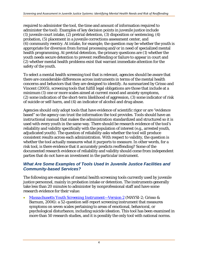required to administer the tool, the time and amount of information required to administer the tool). Examples of key decision points in juvenile justice include (1) juvenile court intake, (2) pretrial detention, (3) disposition or sentencing, (4) probation, (5) placement in a juvenile corrections assessment center, and (6) community reentry. At intake, for example, the question may be whether the youth is appropriate for diversion from formal processing and/or in need of specialized mental health programming. At pretrial detention, the primary questions are (1) whether the youth needs secure detention to prevent reoffending or failure to appear in court and (2) whether mental health problems exist that warrant immediate attention for the safety of the youth.

To select a mental health screening tool that is relevant, agencies should be aware that there are considerable differences across instruments in terms of the mental health concerns and behaviors that they are designed to identify. As summarized by Grisso and Vincent (2005), screening tools that fulfill legal obligations are those that include at a minimum (1) one or more scales aimed at current mood and anxiety symptoms, (2) some indication of the short-term likelihood of aggression, (3) some indicator of risk of suicide or self-harm, and (4) an indicator of alcohol and drug abuse.

Agencies should only adopt tools that have evidence of scientific rigor or are "evidence based" so the agency can trust the information the tool provides. Tools should have an instructional manual that makes the administration standardized and structured so it is used with every youth in the same way. There should be research evidence of the tool's reliability and validity specifically with the population of interest (e.g., arrested youth, adjudicated youth). The question of reliability asks whether the tool will produce consistent results across each administration. With respect to validity, the question is whether the tool actually measures what it purports to measure. In other words, for a risk tool, is there evidence that it accurately predicts reoffending? Some of the documented research evidence of reliability and validity should come from independent parties that do not have an investment in the particular instrument.

### *What Are Some Examples of Tools Used In Juvenile Justice Facilities and Community-based Services?*

The following are examples of *mental health screening* tools currently used by juvenile justice personnel, mainly in probation intake or detention. The instruments generally take less than 20 minutes to administer by nonprofessional staff and have some research evidence for their value:

• *[Massachusetts Youth Screening Instrument—Version 2](http://www.maysiware.com/MAYSI2.htm)* (MAYSI-2; Grisso & Barnum, 2006): a 52-question self-report screening instrument that measures symptoms on seven scales pertaining to areas of emotional, behavioral, or psychological disturbance, including suicide ideation. This tool has been examined in more than 50 research studies, and it is possibly the only tool with national norms.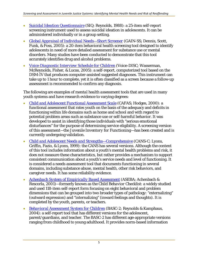- *[Suicidal Ideation Questionnaire](http://www4.parinc.com/Products/Product.aspx?ProductID=SIQ)* (SIQ; Reynolds, 1988): a 25-item self-report screening instrument used to assess suicidal ideation in adolescents. It can be administered individually or in a group setting.
- *[Global Appraisal of Individual Needs—Short Screener](http://www.chestnut.org/li/gain/)* (GAIN-SS; Dennis, Scott, Funk, & Foss, 2005): a 20-item behavioral health screening tool designed to identify adolescents in need of more detailed assessment for substance use or mental disorders. Many studies have been conducted to demonstrate that this tool accurately identifies drug and alcohol problems.
- *[Voice-Diagnostic Interview Schedule for Children](http://promotementalhealth.org/voicedisc.htm)* (Voice-DISC; Wasserman, McReynolds, Fisher, & Lucas, 2005): a self-report, computerized tool based on the *DSM-IV* that produces computer-assisted suggested diagnoses. This instrument can take up to 1 hour to complete, yet it is often classified as a screen because a follow-up assessment is recommended to confirm any diagnosis.

The following are examples of *mental health assessment* tools that are used in many youth systems and have research evidence to varying degrees:

- *[Child and Adolescent Functional Assessment Scale](http://www.fasoutcomes.com/Content.aspx?ContentID=12)* (CAFAS; Hodges, 2000): a functional assessment that rates youth on the basis of the adequacy and deficits in functioning within life domains such as home and school and with regard to potential problem areas such as substance use or self-harmful behavior. It was developed to assist in identifying those individuals with "serious emotional disturbances" for the purpose of determining service eligibility. A screening version of this assessment—the *Juvenile Inventory for Functioning*—has been created and is currently undergoing validation.
- *[Child and Adolescent Needs and Strengths—Comprehensive](http://www.praedfoundation.org/About%20the%20CANS.html)* (CANS-C; Lyons, Griffin, Fazio, & Lyons, 1999): the CANS has several versions. Although the content of this tool includes information about a youth's mental health problems and risk, it does not measure these characteristics, but rather provides a mechanism to support consistent communication about a youth's service needs and level of functioning. It is considered a needs assessment tool that documents functioning in several domains, including substance abuse, mental health, other risk behaviors, and caregiver needs. It has some reliability evidence.
- *[Achenbach System of Empirically Based Assessment](http://www.aseba.org/)* (ASEBA; Achenbach & Rescorla, 2001)—formerly known as the *Child Behavior Checklist*: a widely studied and used 118-item self-report form focusing on eight behavioral and problem dimensions that can be grouped into two broader types of pathology: "externalizing" (outward expression) and "internalizing" (inward feelings and thoughts). It is completed by the youth, parents, or teachers.
- *[Behavioral Assessment System](http://www.pearsonassessments.com/HAIWEB/Cultures/en-us/Productdetail.htm?Pid=PAa30000) for Children* (BASC-2; Reynolds & Kamphaus, 2004): a self-report tool that has different versions for the adolescent, parent/guardians, and teacher. The BASC-2 has different age-appropriate versions ranging from childhood to young adulthood. It provides norm-based information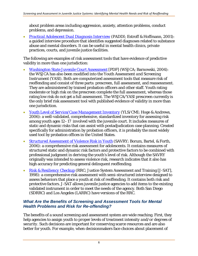about problem areas including aggression, anxiety, attention problems, conduct problems, and depression.

• *[Practical Adolescent Dual Diagnosis Interview](http://www.evinceassessment.com/product_paddi.html)* (PADDI; Estroff & Hoffmann, 2001): a guided interview procedure that identifies suggested diagnoses related to substance abuse and mental disorders. It can be useful in mental health clinics, private practices, courts, and juvenile justice facilities.

The following are examples of *risk assessment* tools that have evidence of predictive validity in more than one jurisdiction:

- *[Washington State Juvenile Court Assessment](http://www.wsipp.wa.gov/rptfiles/JCAmanual2-1.pdf)* [PDF] (WSJCA; Barnowski, 2004): the WSJCA has also been modified into the *Youth Assessment and Screening Instrument* (YASI). Both are computerized assessment tools that measure risk of reoffending and consist of three parts: prescreen, full assessment, and reassessment. They are administered by trained probation officers and other staff. Youth rating moderate or high risk on the prescreen complete the full assessment, whereas those rating low risk do not get a full assessment. The WSJCA/YASI prescreen currently is the only brief risk assessment tool with published evidence of validity in more than one jurisdiction.
- *[Youth Level of Service/Case Management Inventory](http://www.mhs.com/product.aspx?gr=saf&prod=yls-cmi&id=overview)* (YLS/CMI; Hoge & Andrews, 2006): a well-validated, comprehensive, standardized inventory for assessing risk among youth ages 12–17 involved with the juvenile court. It includes measures of static and dynamic risks that can assist with postadjudication case planning. Created specifically for administration by probation officers, it is probably the most widely used tool by probation offices in the United States.
- *[Structured Assessment of Violence Risk in Youth](http://www.stoeltingco.com/stoelting/2294/1467/1497/Psychological/Structured-Assessment-of-Violence-Risk-in-Youth-SAVRY)* (SAVRY; Borum, Bartel, & Forth, 2006): a comprehensive risk assessment for adolescents. It contains measures of structured static and dynamic risk factors and protective factors to be combined with professional judgment in deriving the youth's level of risk. Although the SAVRY originally was intended to assess violence risk, research indicates that it also has high accuracy for predicting general delinquent reoffending.
- *[Risk & Resiliency Checkup](http://www.j-sat.com/Training/RRC)* (RRC; Justice System Assessment and Training [J-SAT], 1998): a comprehensive risk assessment with semi-structured interview designed to assess behaviors that place a youth at risk of reoffending. It contains both risk and protective factors. J-SAT allows juvenile justice agencies to add items to the existing validated instrument in order to meet the needs of the agency. Both San Diego (SDRRC) and Los Angeles (LARRC) have versions of the RRC.

### *What Are the Benefits of Screening and Assessment Tools for Mental Health Problems and Risk for Re-offending?*

The benefits of a sound screening and assessment system are wide reaching. First, they help agencies to assign youth to *proper levels of treatment intensity and/or degrees of security.* Such decisions are important for conserving scarce resources and are also better for youth. For example, when decisionmakers face choices about placement of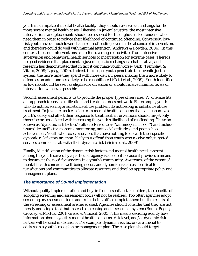youth in an inpatient mental health facility, they should reserve such settings for the more severe mental health cases. Likewise, in juvenile justice, the most intensive interventions and placements should be reserved for the highest risk offenders, who need them in order to reduce their likelihood of continued offending. Conversely, lowrisk youth have a much lower chance of reoffending, even in the absence of intervention, and therefore could do well with minimal attention (Andrews & Dowden, 2006). In this context, the term *interventions* can refer to a range of activities from intensive supervision and behavioral health services to incarceration for extreme cases. There is no good evidence that placement in juvenile justice settings is rehabilitative, and research has demonstrated that in fact it can make youth worse (Gatti, Tremblay, & Vitaro, 2009; Lipsey, 2009). Indeed, the deeper youth penetrate the juvenile justice system, the more time they spend with more deviant peers, making them more likely to offend as an adult and less likely to be rehabilitated (Gatti et al., 2009). Youth identified as low risk should be seen as eligible for diversion or should receive minimal levels of intervention whenever possible.

Second, assessment permits us to provide the *proper types of services*. A "one size fits all" approach to service utilization and treatment does not work. For example, youth who do not have a major substance abuse problem do not belong in substance abuse treatment. In juvenile justice, aside from mental health concerns that can jeopardize a youth's safety and affect their response to treatment, interventions should target only those factors associated with increasing the youth's likelihood of reoffending. These are known as "dynamic risk factors" (often referred to as "criminogenic needs"*)* and include issues like ineffective parental monitoring, antisocial attitudes, and poor school achievement. Youth who receive services that have nothing to do with their specific dynamic risk factors are more likely to reoffend than youth who receive only targeted services commensurate with their dynamic risk (Vieira et al., 2009).

Finally, identification of the dynamic risk factors and mental health needs present among the youth served by a particular agency is a benefit because it provides a means to document *the need for services in a youth's community*. Awareness of the extent of mental health concerns, well-being needs, and dynamic risk areas is critical for jurisdictions and communities to allocate resources and develop appropriate policy and management plans.

# *The Importance of Sound Implementation*

Without quality implementation and buy-in from essential stakeholders, the benefits of adopting screening and assessment tools will not be realized. Too often agencies adopt screening or assessment tools and train their staff to complete them but the results of the screening or assessment are never used. Agencies should consider that they are not merely adopting a tool, but instead a screening and assessment *system* (Bonta, Bogue, Crowley, & Mottuk, 2001; Grisso & Vincent, 2005). This means deciding exactly how information about a youth's mental health concerns, risk level, and/or dynamic risk factors will be used in decisions. For example, dynamic risk factors are crucial to address in a youth's case plan or management plan. The case plan should target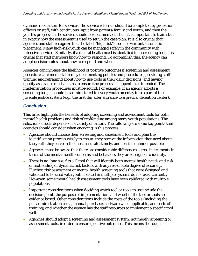dynamic risk factors for services; the service referrals should be completed by probation officers or staff, with continuous input from parents/family and youth; and then the youth's progress in the service should be documented. Thus, it is important to train staff in exactly how the assessment is used to set up the case plan. It is also crucial that agencies and staff recognize that the label "high risk" does not warrant automatic placement. Many high-risk youth can be managed safely in the community with intensive services. Similarly, if a mental health need is identified in a screening tool, it is crucial that staff members know how to respond. To accomplish this, the agency can adopt decision rules about how to respond and when.

Agencies can increase the likelihood of positive outcomes if screening and assessment procedures are memorialized by documenting policies and procedures, providing staff training and retraining about how to use tools in their daily decisions, and having quality assurance mechanisms to ensure the process is happening as intended. The implementation procedures must be sound. For example, if an agency adopts a screening tool, it should be administered to *every* youth on entry into a part of the juvenile justice system (e.g., the first day after entrance to a pretrial detention center).

# *Conclusion*

This brief highlights the benefits of adopting screening and assessment tools for both mental health problems and risk of reoffending among many youth populations. The selection of tools depends on a variety of factors. The following are some key points that agencies should consider when engaging in this process.

- Agencies should choose their screening and assessment tools and plan the identification process wisely to ensure they receive the information they need about the youth they serve in the most accurate, timely, and feasible manner possible.
- Agencies must be aware that there are considerable differences across instruments in terms of the mental health concerns and behaviors they are designed to identify.
- There is no "one size fits all" tool that will identify both mental health needs and risk of reoffending or dynamic risk factors with any reasonable degree of accuracy. Further, risk assessment or mental health screening tools that were designed and validated to be used with youth located in multiple systems do not exist currently. However, some mental health assessment tools have been validated with multiple populations.
- Important considerations when deciding which tool or tools to use include the decision point, the purpose of implementation, and whether the tool or tools are evidence based. Other considerations include the costs of the tools (including the per-administration costs, manual purchase, software when applicable, and costs of training) and whether the agency has the staff resources to implement a specific tool well.
- Agencies should adopt a screening and assessment *system*, not merely screening or assessment tools, in order to ensure positive outcomes. This means thorough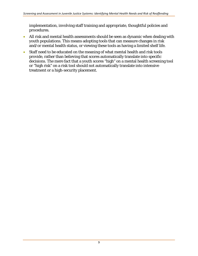implementation, involving staff training and appropriate, thoughtful policies and procedures.

- All risk and mental health assessments should be seen as dynamic when dealing with youth populations. This means adopting tools that can measure changes in risk and/or mental health status, or viewing these tools as having a limited shelf life.
- Staff need to be educated on the meaning of what mental health and risk tools provide, rather than believing that scores automatically translate into specific decisions. The mere fact that a youth scores "high" on a mental health screening tool or "high risk" on a risk tool should not automatically translate into intensive treatment or a high-security placement.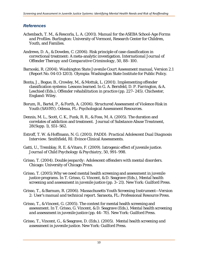#### *References*

- Achenbach, T. M., & Rescorla, L. A. (2001). *Manual for the ASEBA School-Age Forms and Profiles.* Burlington: University of Vermont, Research Center for Children, Youth, and Families.
- Andrews, D. A., & Dowden, C. (2006). Risk principle of case classification in correctional treatment: A meta-analytic investigation. *International Journal of Offender Therapy and Comparative Criminology, 50,* 88–100.
- Barnoski, R. (2004). *Washington State Juvenile Court Assessment manual, Version 2.1*  (Report No. 04-03-1203). Olympia: Washington State Institute for Public Policy.
- Bonta, J., Bogue, B., Crowley, M., & Mottuk, L. (2001). Implementing offender classification systems: Lessons learned. In G. A. Bernfeld, D. P. Farrington, & A. Leschied (Eds.), *Offender rehabilitation in practice* (pp. 227–245). Chichester, England: Wiley.
- Borum, R., Bartel, P., & Forth, A. (2006). *Structured Assessment of Violence Risk in Youth (SAVRY).* Odessa, FL: Psychological Assessment Resources.
- Dennis, M. L., Scott, C. K., Funk, R. R., & Foss, M. A. (2005). The duration and correlates of addiction and treatment. *Journal of Substance Abuse Treatment, 28*(Supp. 1), S51–S62.
- Estroff, T. W. & Hoffmann, N. G. (2001). *PADDI: Practical Adolescent Dual Diagnosis Interview*. Smithfield, RI: Evince Clinical Assessments.
- Gatti, U., Tremblay, R. E. & Vitaro, F. (2009). Iatrogenic effect of juvenile justice. *Journal of Child Psychology & Psychiatry, 50*, 991–998.
- Grisso, T. (2004). *Double jeopardy: Adolescent offenders with mental disorders.* Chicago: University of Chicago Press.
- Grisso, T. (2005).Why we need mental health screening and assessment in juvenile justice programs. In T. Grisso, G. Vincent, & D. Seagrave (Eds.), *Mental health screening and assessment in juvenile justice* (pp. 3–21)*.* New York: Guilford Press.
- Grisso, T., & Barnum, R. (2006). *Massachusetts Youth Screening Instrument—Version 2: User's manual and technical report.* Sarasota, FL: Professional Resource Press.
- Grisso, T., & Vincent, G. (2005). The context for mental health screening and assessment. In T. Grisso, G. Vincent, & D. Seagrave (Eds.), *Mental health screening and assessment in juvenile justice* (pp. 44–70)*.* New York: Guilford Press.
- Grisso, T., Vincent, G., & Seagrave, D. (Eds.). (2005). *Mental health screening and assessment in juvenile justice.* New York: Guilford Press.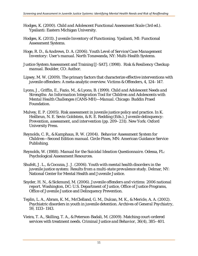- Hodges, K. (2000). *Child and Adolescent Functional Assessment Scale* (3rd ed.). Ypsilanti: Eastern Michigan University.
- Hodges, K. (2011). *Juvenile Inventory of Functioning*. Ypsilanti, MI: Functional Assessment Systems.
- Hoge, R. D., & Andrews, D. A. (2006). *Youth Level of Service/Case Management Inventory: User's manual.* North Tonawanda, NY: Multi-Health Systems.
- Justice System Assessment and Training [J-SAT]. (1998). *Risk & Resiliency Checkup manual.* Boulder, CO: Author.
- Lipsey, M. W. (2009). The primary factors that characterize effective interventions with juvenile offenders: A meta-analytic overview. *Victims & Offenders, 4*, 124–147.
- Lyons, J., Griffin, E., Fazio, M., & Lyons, B. (1999). *Child and Adolescent Needs and Strengths: An Information Integration Tool for Children and Adolescents with Mental Health Challenges (CANS-MH)—Manual.* Chicago: Buddin Praed Foundation.
- Mulvey, E. P. (2005). Risk assessment in juvenile justice policy and practice. In K. Heilbrun, N. E. Sevin Goldstein, & R. E. Redding (Eds.), *Juvenile delinquency: Prevention, assessment, and intervention* (pp. 209–231). New York: Oxford University Press.
- Reynolds, C. R., & Kamphaus, R. W. (2004). *Behavior Assessment System for Children—Second Edition manual.* Circle Pines, MN: American Guidance Service Publishing.
- Reynolds, W. (1988). *Manual for the Suicidal Ideation Questionnaire*. Odessa, FL: Psychological Assessment Resources.
- Shufelt, J. L., & Cocozza, J. J. (2006). *Youth with mental health disorders in the juvenile justice system: Results from a multi-state prevalence study*. Delmar, NY: National Center for Mental Health and Juvenile Justice.
- Snyder, H. N., & Sickmund, M. (2006). *Juvenile offenders and victims: 2006 national report*. Washington, DC: U.S. Department of Justice, Office of Justice Programs, Office of Juvenile Justice and Delinquency Prevention.
- Teplin, L. A., Abram, K. M., McClelland, G. M., Dulcan, M. K., & Mericle, A. A. (2002). Psychiatric disorders in youth in juvenile detention. *Archives of General Psychiatry, 59*, 1133–1143.
- Vieira, T. A., Skilling, T. A., & Peterson-Badali, M. (2009). Matching court-ordered services with treatment needs. *Criminal Justice and Behavior, 36*(4), 385–401.